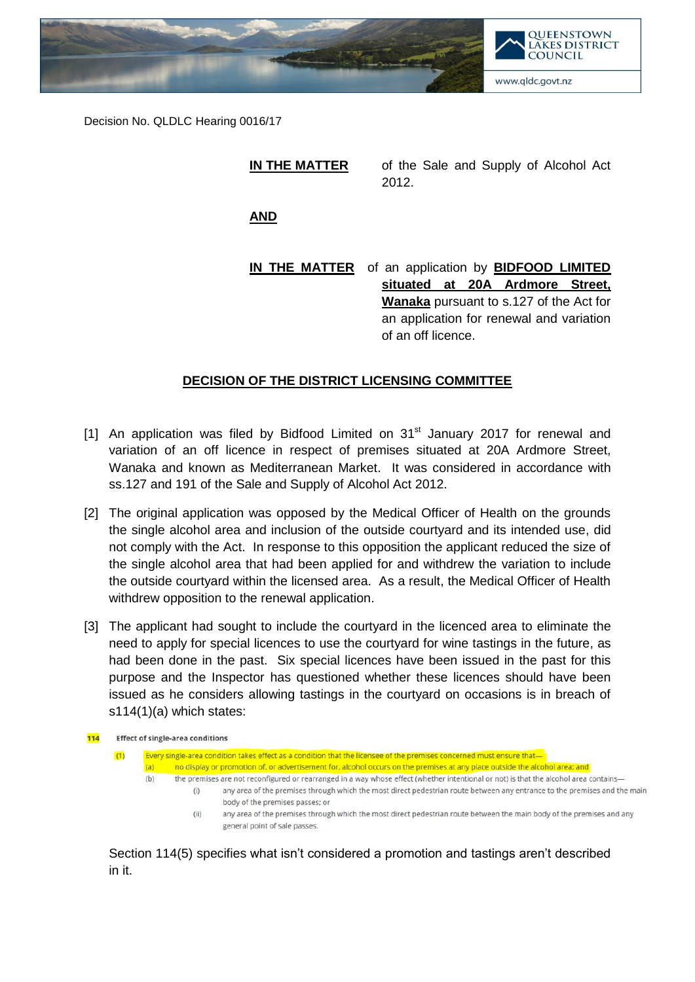

Decision No. QLDLC Hearing 0016/17

**IN THE MATTER** of the Sale and Supply of Alcohol Act 2012. **AND**

**IN THE MATTER** of an application by **BIDFOOD LIMITED situated at 20A Ardmore Street, Wanaka** pursuant to s.127 of the Act for an application for renewal and variation of an off licence.

## **DECISION OF THE DISTRICT LICENSING COMMITTEE**

- [1] An application was filed by Bidfood Limited on  $31<sup>st</sup>$  January 2017 for renewal and variation of an off licence in respect of premises situated at 20A Ardmore Street, Wanaka and known as Mediterranean Market. It was considered in accordance with ss.127 and 191 of the Sale and Supply of Alcohol Act 2012.
- [2] The original application was opposed by the Medical Officer of Health on the grounds the single alcohol area and inclusion of the outside courtyard and its intended use, did not comply with the Act. In response to this opposition the applicant reduced the size of the single alcohol area that had been applied for and withdrew the variation to include the outside courtyard within the licensed area. As a result, the Medical Officer of Health withdrew opposition to the renewal application.
- [3] The applicant had sought to include the courtyard in the licenced area to eliminate the need to apply for special licences to use the courtyard for wine tastings in the future, as had been done in the past. Six special licences have been issued in the past for this purpose and the Inspector has questioned whether these licences should have been issued as he considers allowing tastings in the courtyard on occasions is in breach of s114(1)(a) which states:



Section 114(5) specifies what isn't considered a promotion and tastings aren't described in it.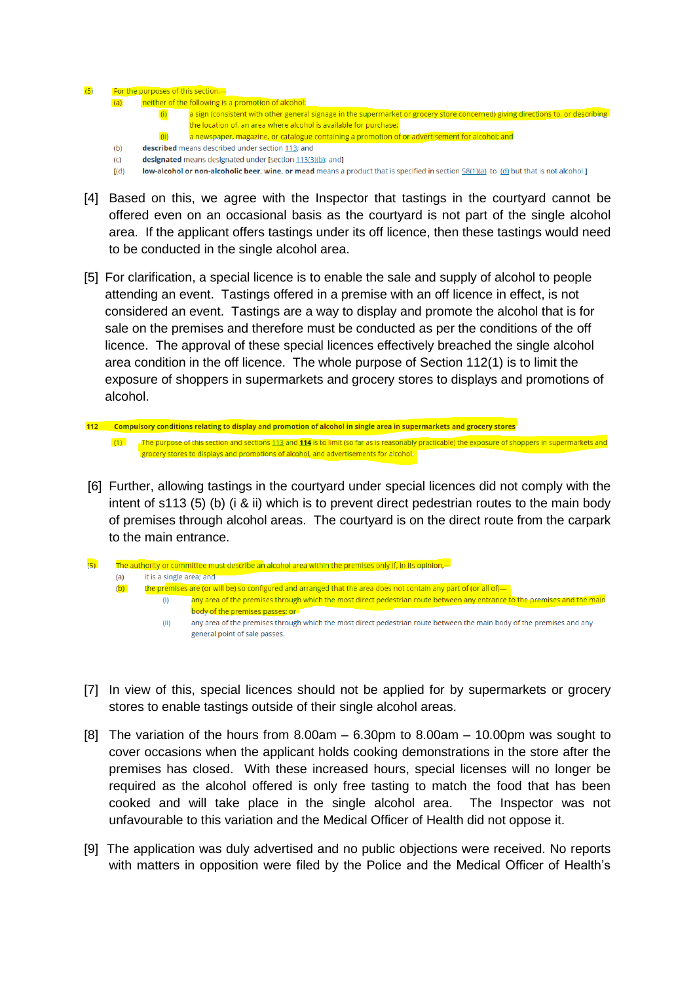| (5) | For the purposes of this section,- |                                                                                                                                         |
|-----|------------------------------------|-----------------------------------------------------------------------------------------------------------------------------------------|
|     | (a)                                | neither of the following is a promotion of alcohol:                                                                                     |
|     |                                    | a sign (consistent with other general signage in the supermarket or grocery store concerned) giving directions to, or describing        |
|     |                                    | the location of, an area where alcohol is available for purchase:                                                                       |
|     |                                    | (iii)<br>a newspaper, magazine, or catalogue containing a promotion of or advertisement for alcohol; and                                |
|     | (b)                                | described means described under section 113; and                                                                                        |
|     | (C)                                | designated means designated under [section 113(3)(b); and]                                                                              |
|     | [(d)]                              | low-alcohol or non-alcoholic beer, wine, or mead means a product that is specified in section 58(1)(a) to (d) but that is not alcohol.] |

- [4] Based on this, we agree with the Inspector that tastings in the courtyard cannot be offered even on an occasional basis as the courtyard is not part of the single alcohol area. If the applicant offers tastings under its off licence, then these tastings would need to be conducted in the single alcohol area.
- [5] For clarification, a special licence is to enable the sale and supply of alcohol to people attending an event. Tastings offered in a premise with an off licence in effect, is not considered an event. Tastings are a way to display and promote the alcohol that is for sale on the premises and therefore must be conducted as per the conditions of the off licence. The approval of these special licences effectively breached the single alcohol area condition in the off licence. The whole purpose of Section 112(1) is to limit the exposure of shoppers in supermarkets and grocery stores to displays and promotions of alcohol.
- 112 Compulsory conditions relating to display and promotion of alcohol in single area in supermarkets and grocery stores (1) The purpose of this section and sections 113 and 114 is to limit (so far as is reasonably practicable) the exposure of shoppers in supermarkets and grocery stores to displays and promotions of alcohol, and advertisements for alcohol.
- [6] Further, allowing tastings in the courtyard under special licences did not comply with the intent of s113 (5) (b) (i & ii) which is to prevent direct pedestrian routes to the main body of premises through alcohol areas. The courtyard is on the direct route from the carpark to the main entrance.
- The authority or committee must describe an alcohol area within the premises only if, in its opinion,- $(5)$  $(a)$ it is a single area; and  $(b)$ the premises are (or will be) so configured and arranged that the area does not contain any part of (or all of)— (i) any area of the premises through which the most direct pedestrian route between any entrance to the premises and the main body of the premises passes; or any area of the premises through which the most direct pedestrian route between the main body of the premises and any  $(i)$ general point of sale passes.
- [7] In view of this, special licences should not be applied for by supermarkets or grocery stores to enable tastings outside of their single alcohol areas.
- [8] The variation of the hours from 8.00am 6.30pm to 8.00am 10.00pm was sought to cover occasions when the applicant holds cooking demonstrations in the store after the premises has closed. With these increased hours, special licenses will no longer be required as the alcohol offered is only free tasting to match the food that has been cooked and will take place in the single alcohol area. The Inspector was not unfavourable to this variation and the Medical Officer of Health did not oppose it.
- [9] The application was duly advertised and no public objections were received. No reports with matters in opposition were filed by the Police and the Medical Officer of Health's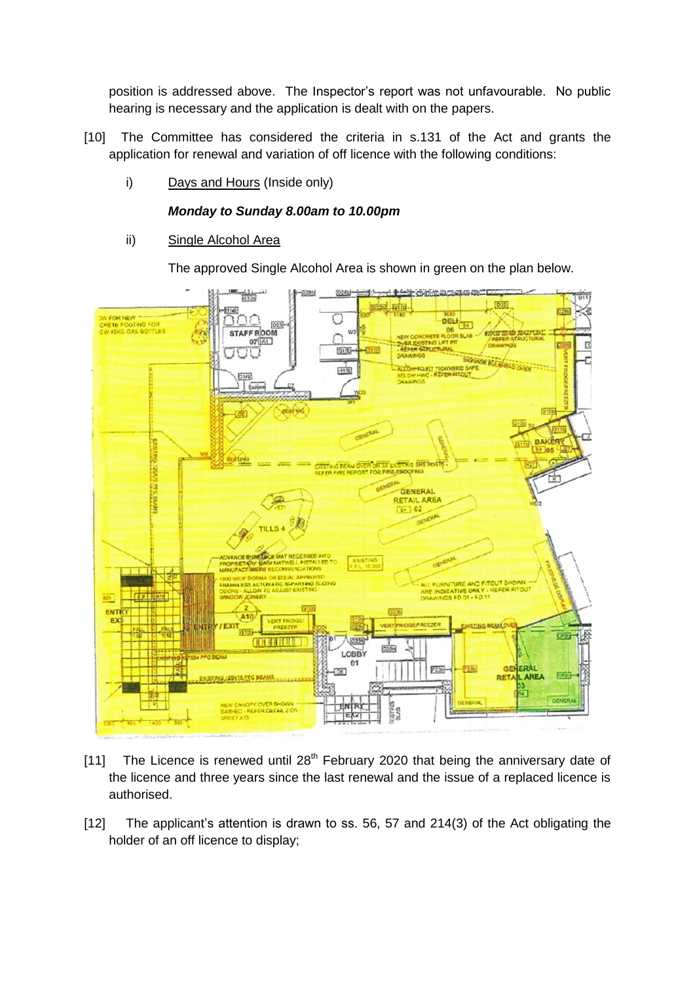position is addressed above. The Inspector's report was not unfavourable. No public hearing is necessary and the application is dealt with on the papers.

- [10] The Committee has considered the criteria in s.131 of the Act and grants the application for renewal and variation of off licence with the following conditions:
	- i) Days and Hours (Inside only)

## *Monday to Sunday 8.00am to 10.00pm*

ii) Single Alcohol Area

The approved Single Alcohol Area is shown in green on the plan below.



- [11] The Licence is renewed until  $28<sup>th</sup>$  February 2020 that being the anniversary date of the licence and three years since the last renewal and the issue of a replaced licence is authorised.
- [12] The applicant's attention is drawn to ss. 56, 57 and 214(3) of the Act obligating the holder of an off licence to display;